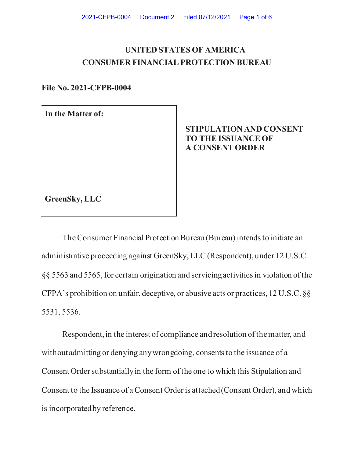# **UNITED STATES OF AMERICA CONSUMER FINANCIAL PROTECTION BUREAU**

**File No. 2021-CFPB-0004** 

**In the Matter of:** 

## **STIPULATION AND CONSENT TO THE ISSUANCE OF A CONSENT ORDER**

**GreenSky, LLC** 

The Consumer Financial Protection Bureau (Bureau) intends to initiate an administrative proceeding against GreenSky, LLC (Respondent), under 12 U.S.C. §§ 5563 and 5565, for certain origination and servicing activities in violation of the CFPA's prohibition on unfair, deceptive, or abusive acts or practices, 12 U.S.C. §§ 5531, 5536.

Respondent, in the interest of compliance and resolution of the matter, and without admitting or denying any wrongdoing, consents to the issuance of a Consent Order substantially in the form of the one to which this Stipulation and Consent to the Issuance of a Consent Order is attached (Consent Order), and which is incorporated by reference.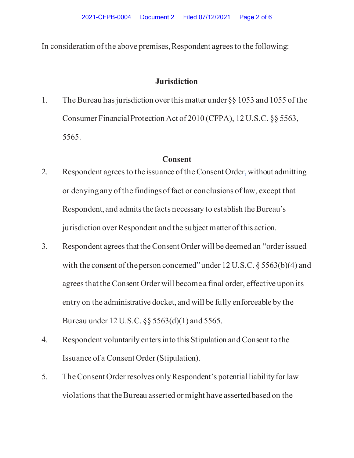In consideration of the above premises, Respondent agrees to the following:

### **Jurisdiction**

1. The Bureau has jurisdiction over this matter under §§ 1053 and 1055 of the Consumer Financial Protection Act of 2010 (CFPA), 12 U.S.C. §§ 5563, 5565.

#### **Consent**

- 2. Respondent agrees to the issuance of the Consent Order, without admitting or denying any of the findings of fact or conclusions of law, except that Respondent, and admits the facts necessary to establish the Bureau's jurisdiction over Respondent and the subject matter of this action.
- 3. Respondent agrees that the Consent Order will be deemed an "order issued with the consent of the person concerned" under  $12$  U.S.C. § 5563(b)(4) and agrees that the Consent Order will become a final order, effective upon its entry on the administrative docket, and will be fully enforceable by the Bureau under 12 U.S.C. §§ 5563(d)(1) and 5565.
- 4. Respondent voluntarily enters into this Stipulation and Consent to the Issuance of a Consent Order (Stipulation).
- 5. The Consent Order resolves only Respondent's potential liability for law violations that the Bureau asserted or might have asserted based on the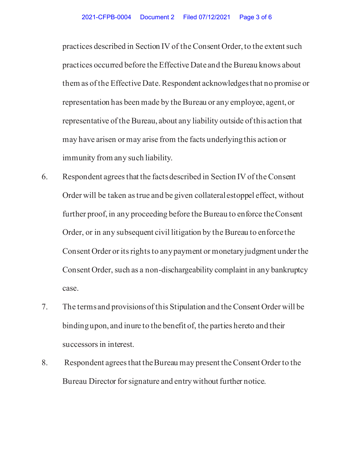practices described in Section IV of the Consent Order, to the extent such practices occurred before the Effective Date and the Bureau knows about them as of the Effective Date. Respondent acknowledges that no promise or representation has been made by the Bureau or any employee, agent, or representative of the Bureau, about any liability outside of this action that may have arisen or may arise from the facts underlying this action or immunity from any such liability.

- 6. Respondent agrees that the facts described in Section IV of the Consent Order will be taken as true and be given collateral estoppel effect, without further proof, in any proceeding before the Bureau to enforce the Consent Order, or in any subsequent civil litigation by the Bureau to enforce the Consent Order or its rights to any payment or monetary judgment under the Consent Order, such as a non-dischargeability complaint in any bankruptcy case.
- 7. The terms and provisions of this Stipulation and the Consent Order will be binding upon, and inure to the benefit of, the parties hereto and their successors in interest.
- 8. Respondent agrees that the Bureau may present the Consent Order to the Bureau Director for signature and entry without further notice.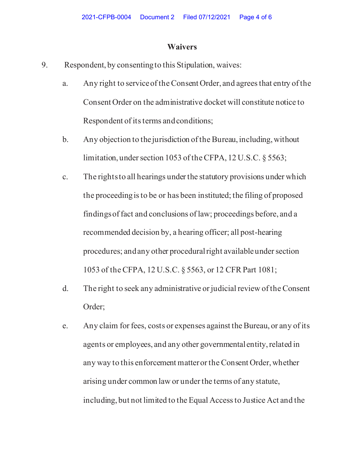#### **Waivers**

- 9. Respondent, by consenting to this Stipulation, waives:
	- a. Any right to service of the Consent Order, and agrees that entry of the Consent Order on the administrative docket will constitute notice to Respondent of its terms and conditions;
	- b. Any objection to the jurisdiction of the Bureau, including, without limitation, under section 1053 of the CFPA, 12 U.S.C. § 5563;
	- c. The rights to all hearings under the statutory provisions under which the proceeding is to be or has been instituted; the filing of proposed findings of fact and conclusions of law; proceedings before, and a recommended decision by, a hearing officer; all post-hearing procedures; and any other procedural right available under section 1053 of the CFPA, 12 U.S.C. § 5563, or 12 CFR Part 1081;
	- d. The right to seek any administrative or judicial review of the Consent Order;
	- e. Any claim for fees, costs or expenses against the Bureau, or any of its agents or employees, and any other governmental entity, related in any way to this enforcement matter or the Consent Order, whether arising under common law or under the terms of any statute, including, but not limited to the Equal Access to Justice Act and the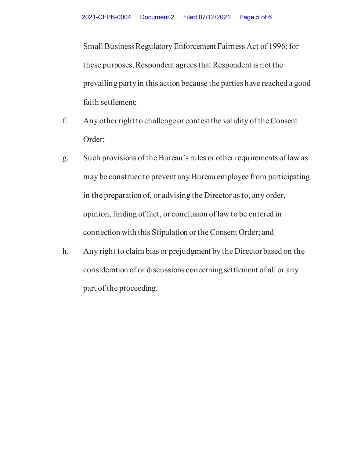Small Business Regulatory Enforcement Fairness Act of 1996; for these purposes, Respondent agrees that Respondent is not the prevailing party in this action because the parties have reached a good faith settlement;

- f. Any other right to challenge or contest the validity of the Consent Order;
- g. Such provisions of the Bureau's rules or other requirements of law as may be construed to prevent any Bureau employee from participating in the preparation of, or advising the Director as to, any order, opinion, finding of fact, or conclusion of law to be entered in connection with this Stipulation or the Consent Order; and
- h. Any right to claim bias or prejudgment by the Director based on the consideration of or discussions concerning settlement of all or any part of the proceeding.